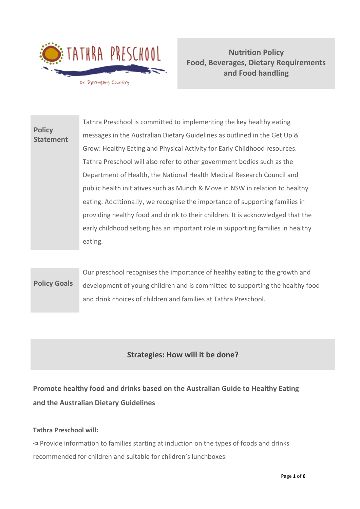

**Nutrition Policy Food, Beverages, Dietary Requirements and Food handling**

**Policy Statement** Tathra Preschool is committed to implementing the key healthy eating messages in the Australian Dietary Guidelines as outlined in the Get Up & Grow: Healthy Eating and Physical Activity for Early Childhood resources. Tathra Preschool will also refer to other government bodies such as the Department of Health, the National Health Medical Research Council and public health initiatives such as Munch & Move in NSW in relation to healthy eating. Additionally, we recognise the importance of supporting families in providing healthy food and drink to their children. It is acknowledged that the early childhood setting has an important role in supporting families in healthy eating.

# **Policy Goals** Our preschool recognises the importance of healthy eating to the growth and development of young children and is committed to supporting the healthy food and drink choices of children and families at Tathra Preschool.

# **Strategies: How will it be done?**

**Promote healthy food and drinks based on the Australian Guide to Healthy Eating and the Australian Dietary Guidelines** 

## **Tathra Preschool will:**

⊲ Provide information to families starting at induction on the types of foods and drinks recommended for children and suitable for children's lunchboxes.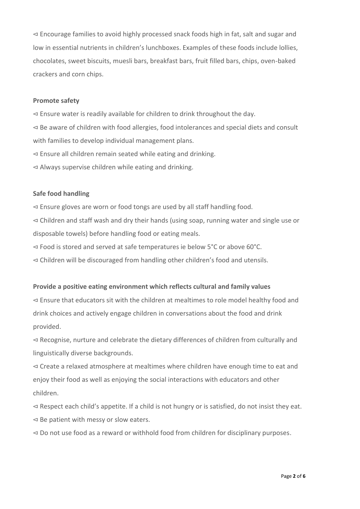⊲ Encourage families to avoid highly processed snack foods high in fat, salt and sugar and low in essential nutrients in children's lunchboxes. Examples of these foods include lollies, chocolates, sweet biscuits, muesli bars, breakfast bars, fruit filled bars, chips, oven-baked crackers and corn chips.

#### **Promote safety**

⊲ Ensure water is readily available for children to drink throughout the day. ⊲ Be aware of children with food allergies, food intolerances and special diets and consult with families to develop individual management plans. ⊲ Ensure all children remain seated while eating and drinking. ⊲ Always supervise children while eating and drinking.

## **Safe food handling**

⊲ Ensure gloves are worn or food tongs are used by all staff handling food. ⊲ Children and staff wash and dry their hands (using soap, running water and single use or disposable towels) before handling food or eating meals.

⊲ Food is stored and served at safe temperatures ie below 5°C or above 60°C.

⊲ Children will be discouraged from handling other children's food and utensils.

## **Provide a positive eating environment which reflects cultural and family values**

⊲ Ensure that educators sit with the children at mealtimes to role model healthy food and drink choices and actively engage children in conversations about the food and drink provided.

⊲ Recognise, nurture and celebrate the dietary differences of children from culturally and linguistically diverse backgrounds.

⊲ Create a relaxed atmosphere at mealtimes where children have enough time to eat and enjoy their food as well as enjoying the social interactions with educators and other children.

⊲ Respect each child's appetite. If a child is not hungry or is satisfied, do not insist they eat. ⊲ Be patient with messy or slow eaters.

⊲ Do not use food as a reward or withhold food from children for disciplinary purposes.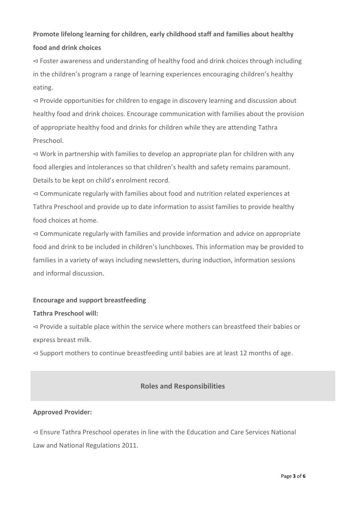# **Promote lifelong learning for children, early childhood staff and families about healthy food and drink choices**

⊲ Foster awareness and understanding of healthy food and drink choices through including in the children's program a range of learning experiences encouraging children's healthy eating.

⊲ Provide opportunities for children to engage in discovery learning and discussion about healthy food and drink choices. Encourage communication with families about the provision of appropriate healthy food and drinks for children while they are attending Tathra Preschool.

⊲ Work in partnership with families to develop an appropriate plan for children with any food allergies and intolerances so that children's health and safety remains paramount. Details to be kept on child's enrolment record.

⊲ Communicate regularly with families about food and nutrition related experiences at Tathra Preschool and provide up to date information to assist families to provide healthy food choices at home.

⊲ Communicate regularly with families and provide information and advice on appropriate food and drink to be included in children's lunchboxes. This information may be provided to families in a variety of ways including newsletters, during induction, information sessions and informal discussion.

## **Encourage and support breastfeeding**

## **Tathra Preschool will:**

⊲ Provide a suitable place within the service where mothers can breastfeed their babies or express breast milk.

⊲ Support mothers to continue breastfeeding until babies are at least 12 months of age.

## **Roles and Responsibilities**

## **Approved Provider:**

⊲ Ensure Tathra Preschool operates in line with the Education and Care Services National Law and National Regulations 2011.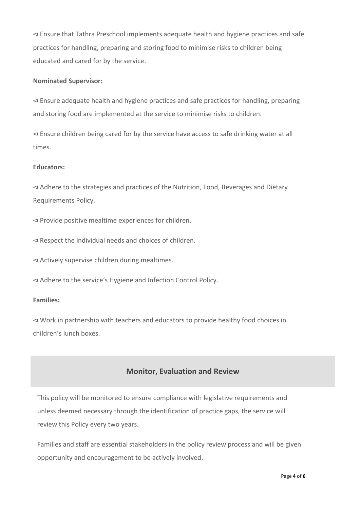⊲ Ensure that Tathra Preschool implements adequate health and hygiene practices and safe practices for handling, preparing and storing food to minimise risks to children being educated and cared for by the service.

#### **Nominated Supervisor:**

⊲ Ensure adequate health and hygiene practices and safe practices for handling, preparing and storing food are implemented at the service to minimise risks to children.

⊲ Ensure children being cared for by the service have access to safe drinking water at all times.

#### **Educators:**

⊲ Adhere to the strategies and practices of the Nutrition, Food, Beverages and Dietary Requirements Policy.

⊲ Provide positive mealtime experiences for children.

⊲ Respect the individual needs and choices of children.

⊲ Actively supervise children during mealtimes.

⊲ Adhere to the service's Hygiene and Infection Control Policy.

#### **Families:**

⊲ Work in partnership with teachers and educators to provide healthy food choices in children's lunch boxes.

## **Monitor, Evaluation and Review**

This policy will be monitored to ensure compliance with legislative requirements and unless deemed necessary through the identification of practice gaps, the service will review this Policy every two years.

Families and staff are essential stakeholders in the policy review process and will be given opportunity and encouragement to be actively involved.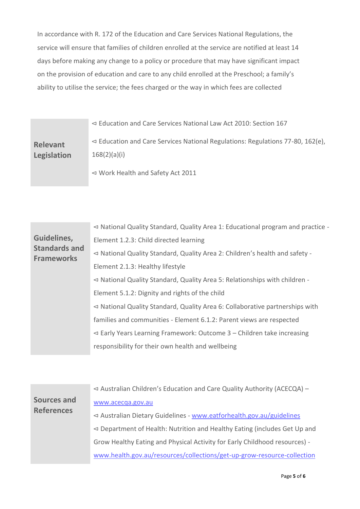In accordance with R. 172 of the Education and Care Services National Regulations, the service will ensure that families of children enrolled at the service are notified at least 14 days before making any change to a policy or procedure that may have significant impact on the provision of education and care to any child enrolled at the Preschool; a family's ability to utilise the service; the fees charged or the way in which fees are collected

| <b>Relevant</b><br>Legislation | $\leq$ Education and Care Services National Law Act 2010: Section 167               |
|--------------------------------|-------------------------------------------------------------------------------------|
|                                | $\leq$ Education and Care Services National Regulations: Regulations 77-80, 162(e), |
|                                | 168(2)(a)(i)                                                                        |
|                                | $\leq$ Work Health and Safety Act 2011                                              |

| Guidelines,<br><b>Standards and</b><br><b>Frameworks</b> | $\triangleleft$ National Quality Standard, Quality Area 1: Educational program and practice - |
|----------------------------------------------------------|-----------------------------------------------------------------------------------------------|
|                                                          | Element 1.2.3: Child directed learning                                                        |
|                                                          | $\triangleleft$ National Quality Standard, Quality Area 2: Children's health and safety -     |
|                                                          | Element 2.1.3: Healthy lifestyle                                                              |
|                                                          | $\triangleleft$ National Quality Standard, Quality Area 5: Relationships with children -      |
|                                                          | Element 5.1.2: Dignity and rights of the child                                                |
|                                                          | $\triangleleft$ National Quality Standard, Quality Area 6: Collaborative partnerships with    |
|                                                          | families and communities - Element 6.1.2: Parent views are respected                          |
|                                                          | $\leq$ Early Years Learning Framework: Outcome 3 – Children take increasing                   |
|                                                          | responsibility for their own health and wellbeing                                             |
|                                                          |                                                                                               |

| $\triangleleft$ Australian Children's Education and Care Quality Authority (ACECQA) -   |
|-----------------------------------------------------------------------------------------|
| www.acecqa.gov.au                                                                       |
| $\triangleleft$ Australian Dietary Guidelines - www.eatforhealth.gov.au/guidelines      |
| $\triangleleft$ Department of Health: Nutrition and Healthy Eating (includes Get Up and |
| Grow Healthy Eating and Physical Activity for Early Childhood resources) -              |
| www.health.gov.au/resources/collections/get-up-grow-resource-collection                 |
|                                                                                         |